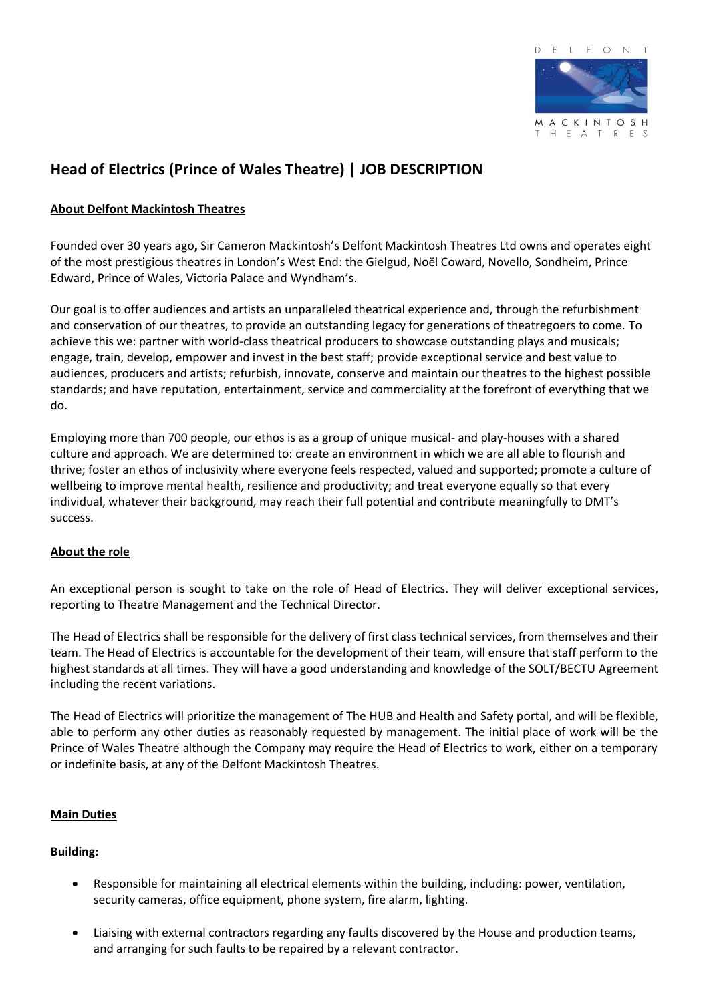

# **Head of Electrics (Prince of Wales Theatre) | JOB DESCRIPTION**

# **About Delfont Mackintosh Theatres**

Founded over 30 years ago**,** Sir Cameron Mackintosh's Delfont Mackintosh Theatres Ltd owns and operates eight of the most prestigious theatres in London's West End: the Gielgud, Noël Coward, Novello, Sondheim, Prince Edward, Prince of Wales, Victoria Palace and Wyndham's.

Our goal is to offer audiences and artists an unparalleled theatrical experience and, through the refurbishment and conservation of our theatres, to provide an outstanding legacy for generations of theatregoers to come. To achieve this we: partner with world-class theatrical producers to showcase outstanding plays and musicals; engage, train, develop, empower and invest in the best staff; provide exceptional service and best value to audiences, producers and artists; refurbish, innovate, conserve and maintain our theatres to the highest possible standards; and have reputation, entertainment, service and commerciality at the forefront of everything that we do.

Employing more than 700 people, our ethos is as a group of unique musical- and play-houses with a shared culture and approach. We are determined to: create an environment in which we are all able to flourish and thrive; foster an ethos of inclusivity where everyone feels respected, valued and supported; promote a culture of wellbeing to improve mental health, resilience and productivity; and treat everyone equally so that every individual, whatever their background, may reach their full potential and contribute meaningfully to DMT's success.

# **About the role**

An exceptional person is sought to take on the role of Head of Electrics. They will deliver exceptional services, reporting to Theatre Management and the Technical Director.

The Head of Electrics shall be responsible for the delivery of first class technical services, from themselves and their team. The Head of Electrics is accountable for the development of their team, will ensure that staff perform to the highest standards at all times. They will have a good understanding and knowledge of the SOLT/BECTU Agreement including the recent variations.

The Head of Electrics will prioritize the management of The HUB and Health and Safety portal, and will be flexible, able to perform any other duties as reasonably requested by management. The initial place of work will be the Prince of Wales Theatre although the Company may require the Head of Electrics to work, either on a temporary or indefinite basis, at any of the Delfont Mackintosh Theatres.

# **Main Duties**

# **Building:**

- Responsible for maintaining all electrical elements within the building, including: power, ventilation, security cameras, office equipment, phone system, fire alarm, lighting.
- Liaising with external contractors regarding any faults discovered by the House and production teams, and arranging for such faults to be repaired by a relevant contractor.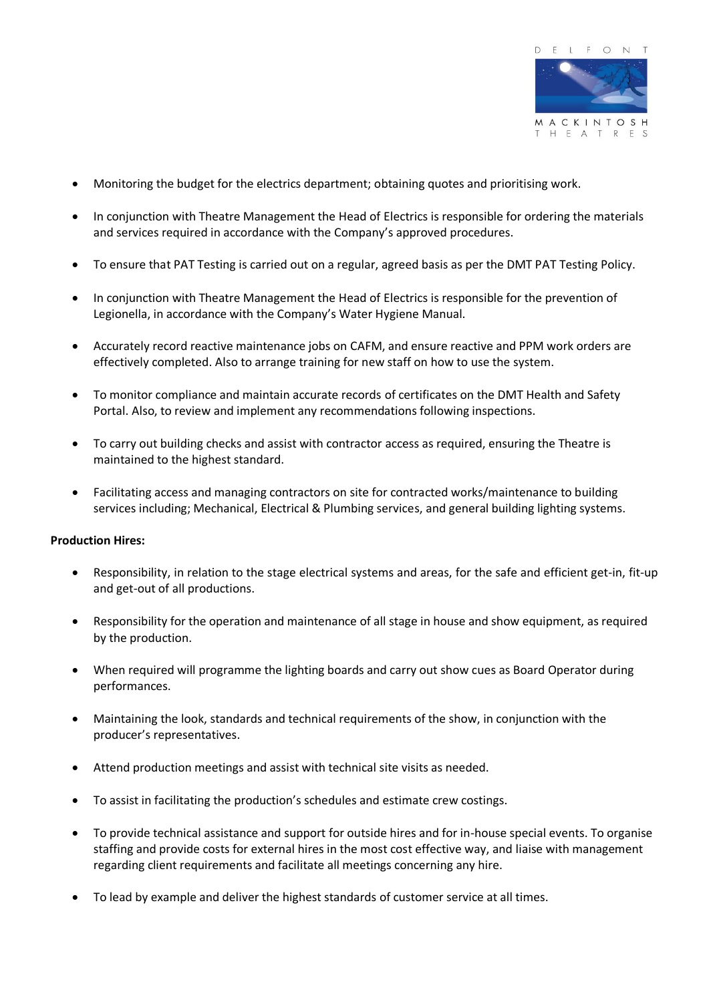

- Monitoring the budget for the electrics department; obtaining quotes and prioritising work.
- In conjunction with Theatre Management the Head of Electrics is responsible for ordering the materials and services required in accordance with the Company's approved procedures.
- To ensure that PAT Testing is carried out on a regular, agreed basis as per the DMT PAT Testing Policy.
- In conjunction with Theatre Management the Head of Electrics is responsible for the prevention of Legionella, in accordance with the Company's Water Hygiene Manual.
- Accurately record reactive maintenance jobs on CAFM, and ensure reactive and PPM work orders are effectively completed. Also to arrange training for new staff on how to use the system.
- To monitor compliance and maintain accurate records of certificates on the DMT Health and Safety Portal. Also, to review and implement any recommendations following inspections.
- To carry out building checks and assist with contractor access as required, ensuring the Theatre is maintained to the highest standard.
- Facilitating access and managing contractors on site for contracted works/maintenance to building services including; Mechanical, Electrical & Plumbing services, and general building lighting systems.

#### **Production Hires:**

- Responsibility, in relation to the stage electrical systems and areas, for the safe and efficient get-in, fit-up and get-out of all productions.
- Responsibility for the operation and maintenance of all stage in house and show equipment, as required by the production.
- When required will programme the lighting boards and carry out show cues as Board Operator during performances.
- Maintaining the look, standards and technical requirements of the show, in conjunction with the producer's representatives.
- Attend production meetings and assist with technical site visits as needed.
- To assist in facilitating the production's schedules and estimate crew costings.
- To provide technical assistance and support for outside hires and for in-house special events. To organise staffing and provide costs for external hires in the most cost effective way, and liaise with management regarding client requirements and facilitate all meetings concerning any hire.
- To lead by example and deliver the highest standards of customer service at all times.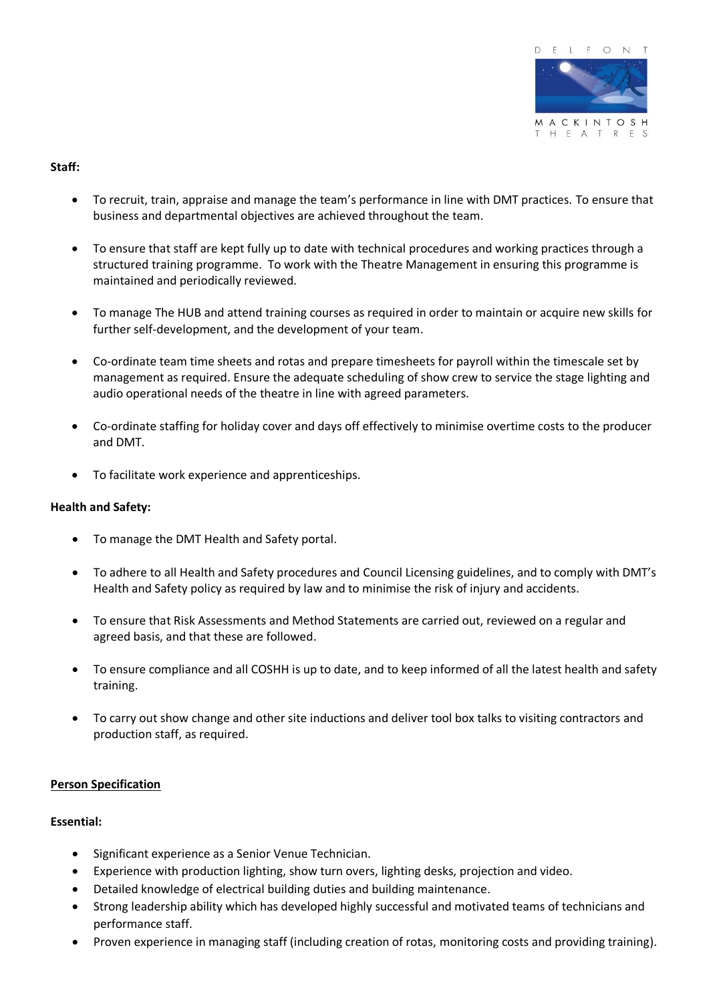

# **Staff:**

- To recruit, train, appraise and manage the team's performance in line with DMT practices. To ensure that business and departmental objectives are achieved throughout the team.
- To ensure that staff are kept fully up to date with technical procedures and working practices through a structured training programme. To work with the Theatre Management in ensuring this programme is maintained and periodically reviewed.
- To manage The HUB and attend training courses as required in order to maintain or acquire new skills for further self-development, and the development of your team.
- Co-ordinate team time sheets and rotas and prepare timesheets for payroll within the timescale set by management as required. Ensure the adequate scheduling of show crew to service the stage lighting and audio operational needs of the theatre in line with agreed parameters.
- Co-ordinate staffing for holiday cover and days off effectively to minimise overtime costs to the producer and DMT.
- To facilitate work experience and apprenticeships.

### **Health and Safety:**

- To manage the DMT Health and Safety portal.
- To adhere to all Health and Safety procedures and Council Licensing guidelines, and to comply with DMT's Health and Safety policy as required by law and to minimise the risk of injury and accidents.
- To ensure that Risk Assessments and Method Statements are carried out, reviewed on a regular and agreed basis, and that these are followed.
- To ensure compliance and all COSHH is up to date, and to keep informed of all the latest health and safety training.
- To carry out show change and other site inductions and deliver tool box talks to visiting contractors and production staff, as required.

#### **Person Specification**

#### **Essential:**

- Significant experience as a Senior Venue Technician.
- Experience with production lighting, show turn overs, lighting desks, projection and video.
- Detailed knowledge of electrical building duties and building maintenance.
- Strong leadership ability which has developed highly successful and motivated teams of technicians and performance staff.
- Proven experience in managing staff (including creation of rotas, monitoring costs and providing training).